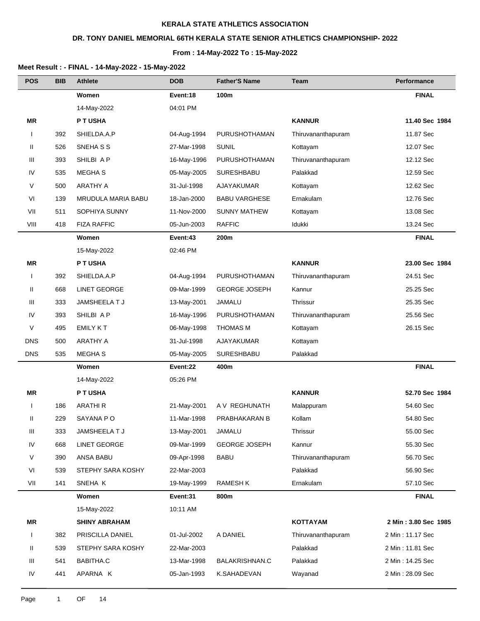## **DR. TONY DANIEL MEMORIAL 66TH KERALA STATE SENIOR ATHLETICS CHAMPIONSHIP- 2022**

#### **From : 14-May-2022 To : 15-May-2022**

| <b>POS</b>   | <b>BIB</b> | <b>Athlete</b>       | <b>DOB</b>  | <b>Father'S Name</b> | Team               | Performance          |
|--------------|------------|----------------------|-------------|----------------------|--------------------|----------------------|
|              |            | Women                | Event:18    | 100m                 |                    | <b>FINAL</b>         |
|              |            | 14-May-2022          | 04:01 PM    |                      |                    |                      |
| ΜR           |            | P T USHA             |             |                      | <b>KANNUR</b>      | 11.40 Sec 1984       |
| $\mathbf{I}$ | 392        | SHIELDA.A.P          | 04-Aug-1994 | <b>PURUSHOTHAMAN</b> | Thiruvananthapuram | 11.87 Sec            |
| Ш            | 526        | SNEHA S S            | 27-Mar-1998 | <b>SUNIL</b>         | Kottayam           | 12.07 Sec            |
| Ш            | 393        | SHILBI A P           | 16-May-1996 | <b>PURUSHOTHAMAN</b> | Thiruvananthapuram | 12.12 Sec            |
| IV           | 535        | <b>MEGHAS</b>        | 05-May-2005 | SURESHBABU           | Palakkad           | 12.59 Sec            |
| V            | 500        | <b>ARATHY A</b>      | 31-Jul-1998 | AJAYAKUMAR           | Kottayam           | 12.62 Sec            |
| VI           | 139        | MRUDULA MARIA BABU   | 18-Jan-2000 | <b>BABU VARGHESE</b> | Ernakulam          | 12.76 Sec            |
| VII          | 511        | SOPHIYA SUNNY        | 11-Nov-2000 | <b>SUNNY MATHEW</b>  | Kottayam           | 13.08 Sec            |
| VIII         | 418        | <b>FIZA RAFFIC</b>   | 05-Jun-2003 | <b>RAFFIC</b>        | Idukki             | 13.24 Sec            |
|              |            | Women                | Event:43    | 200m                 |                    | <b>FINAL</b>         |
|              |            | 15-May-2022          | 02:46 PM    |                      |                    |                      |
| ΜR           |            | P T USHA             |             |                      | <b>KANNUR</b>      | 23.00 Sec 1984       |
| $\mathbf{I}$ | 392        | SHIELDA.A.P          | 04-Aug-1994 | PURUSHOTHAMAN        | Thiruvananthapuram | 24.51 Sec            |
| Ш            | 668        | <b>LINET GEORGE</b>  | 09-Mar-1999 | <b>GEORGE JOSEPH</b> | Kannur             | 25.25 Sec            |
| Ш            | 333        | JAMSHEELA T J        | 13-May-2001 | JAMALU               | Thrissur           | 25.35 Sec            |
| IV           | 393        | SHILBI A P           | 16-May-1996 | PURUSHOTHAMAN        | Thiruvananthapuram | 25.56 Sec            |
| V            | 495        | <b>EMILY KT</b>      | 06-May-1998 | <b>THOMAS M</b>      | Kottayam           | 26.15 Sec            |
| <b>DNS</b>   | 500        | <b>ARATHY A</b>      | 31-Jul-1998 | AJAYAKUMAR           | Kottayam           |                      |
| <b>DNS</b>   | 535        | <b>MEGHAS</b>        | 05-May-2005 | <b>SURESHBABU</b>    | Palakkad           |                      |
|              |            | Women                | Event:22    | 400m                 |                    | <b>FINAL</b>         |
|              |            | 14-May-2022          | 05:26 PM    |                      |                    |                      |
| <b>MR</b>    |            | P T USHA             |             |                      | <b>KANNUR</b>      | 52.70 Sec 1984       |
| $\mathbf{I}$ | 186        | <b>ARATHIR</b>       | 21-May-2001 | A V REGHUNATH        | Malappuram         | 54.60 Sec            |
| Ш            | 229        | SAYANA PO            | 11-Mar-1998 | PRABHAKARAN B        | Kollam             | 54.80 Sec            |
| Ш            | 333        | JAMSHEELA T J        | 13-May-2001 | JAMALU               | Thrissur           | 55.00 Sec            |
| IV           | 668        | <b>LINET GEORGE</b>  | 09-Mar-1999 | <b>GEORGE JOSEPH</b> | Kannur             | 55.30 Sec            |
| V            | 390        | ANSA BABU            | 09-Apr-1998 | <b>BABU</b>          | Thiruvananthapuram | 56.70 Sec            |
| VI           | 539        | STEPHY SARA KOSHY    | 22-Mar-2003 |                      | Palakkad           | 56.90 Sec            |
| VII          | 141        | SNEHA K              | 19-May-1999 | <b>RAMESH K</b>      | Ernakulam          | 57.10 Sec            |
|              |            | Women                | Event:31    | 800m                 |                    | <b>FINAL</b>         |
|              |            | 15-May-2022          | 10:11 AM    |                      |                    |                      |
| <b>MR</b>    |            | <b>SHINY ABRAHAM</b> |             |                      | <b>KOTTAYAM</b>    | 2 Min: 3.80 Sec 1985 |
| $\mathbf{I}$ | 382        | PRISCILLA DANIEL     | 01-Jul-2002 | A DANIEL             | Thiruvananthapuram | 2 Min: 11.17 Sec     |
| Ш            | 539        | STEPHY SARA KOSHY    | 22-Mar-2003 |                      | Palakkad           | 2 Min: 11.81 Sec     |
| Ш            | 541        | BABITHA.C            | 13-Mar-1998 | BALAKRISHNAN.C       | Palakkad           | 2 Min: 14.25 Sec     |
| IV           | 441        | APARNA K             | 05-Jan-1993 | K.SAHADEVAN          | Wayanad            | 2 Min: 28.09 Sec     |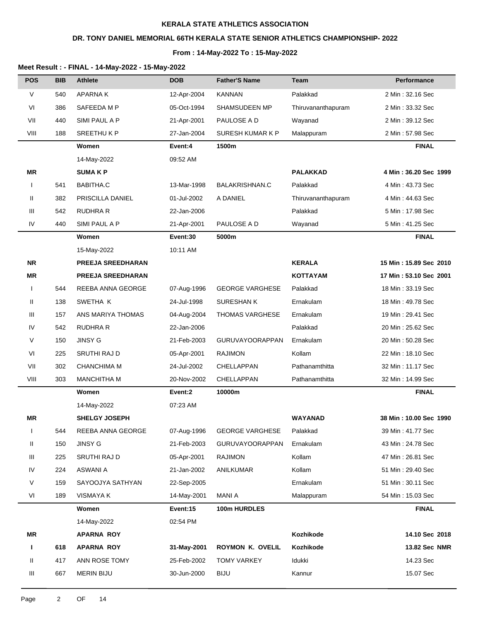### **DR. TONY DANIEL MEMORIAL 66TH KERALA STATE SENIOR ATHLETICS CHAMPIONSHIP- 2022**

#### **From : 14-May-2022 To : 15-May-2022**

| <b>POS</b>   | <b>BIB</b> | <b>Athlete</b>           | <b>DOB</b>  | <b>Father'S Name</b>   | Team               | Performance            |
|--------------|------------|--------------------------|-------------|------------------------|--------------------|------------------------|
| $\vee$       | 540        | <b>APARNAK</b>           | 12-Apr-2004 | <b>KANNAN</b>          | Palakkad           | 2 Min: 32.16 Sec       |
| VI           | 386        | SAFEEDA M P              | 05-Oct-1994 | SHAMSUDEEN MP          | Thiruvananthapuram | 2 Min: 33.32 Sec       |
| VII          | 440        | SIMI PAUL A P            | 21-Apr-2001 | PAULOSE A D            | Wayanad            | 2 Min: 39.12 Sec       |
| VIII         | 188        | <b>SREETHUKP</b>         | 27-Jan-2004 | SURESH KUMAR K P       | Malappuram         | 2 Min: 57.98 Sec       |
|              |            | Women                    | Event:4     | 1500m                  |                    | <b>FINAL</b>           |
|              |            | 14-May-2022              | 09:52 AM    |                        |                    |                        |
| ΜR           |            | <b>SUMAKP</b>            |             |                        | <b>PALAKKAD</b>    | 4 Min: 36.20 Sec 1999  |
| $\mathbf{I}$ | 541        | BABITHA.C                | 13-Mar-1998 | <b>BALAKRISHNAN.C</b>  | Palakkad           | 4 Min: 43.73 Sec       |
| Ш            | 382        | PRISCILLA DANIEL         | 01-Jul-2002 | A DANIEL               | Thiruvananthapuram | 4 Min: 44.63 Sec       |
| Ш            | 542        | <b>RUDHRA R</b>          | 22-Jan-2006 |                        | Palakkad           | 5 Min: 17.98 Sec       |
| IV           | 440        | SIMI PAUL A P            | 21-Apr-2001 | PAULOSE A D            | Wayanad            | 5 Min: 41.25 Sec       |
|              |            | Women                    | Event:30    | 5000m                  |                    | <b>FINAL</b>           |
|              |            | 15-May-2022              | 10:11 AM    |                        |                    |                        |
| <b>NR</b>    |            | <b>PREEJA SREEDHARAN</b> |             |                        | <b>KERALA</b>      | 15 Min: 15.89 Sec 2010 |
| ΜR           |            | <b>PREEJA SREEDHARAN</b> |             |                        | <b>KOTTAYAM</b>    | 17 Min: 53.10 Sec 2001 |
| $\mathbf{I}$ | 544        | REEBA ANNA GEORGE        | 07-Aug-1996 | <b>GEORGE VARGHESE</b> | Palakkad           | 18 Min: 33.19 Sec      |
| Ш            | 138        | SWETHA K                 | 24-Jul-1998 | <b>SURESHANK</b>       | Ernakulam          | 18 Min: 49.78 Sec      |
| Ш            | 157        | ANS MARIYA THOMAS        | 04-Aug-2004 | <b>THOMAS VARGHESE</b> | Ernakulam          | 19 Min: 29.41 Sec      |
| IV           | 542        | RUDHRA R                 | 22-Jan-2006 |                        | Palakkad           | 20 Min: 25.62 Sec      |
| V            | 150        | <b>JINSY G</b>           | 21-Feb-2003 | <b>GURUVAYOORAPPAN</b> | Ernakulam          | 20 Min: 50.28 Sec      |
| VI           | 225        | SRUTHI RAJ D             | 05-Apr-2001 | <b>RAJIMON</b>         | Kollam             | 22 Min: 18.10 Sec      |
| VII          | 302        | <b>CHANCHIMA M</b>       | 24-Jul-2002 | CHELLAPPAN             | Pathanamthitta     | 32 Min: 11.17 Sec      |
| VIII         | 303        | <b>MANCHITHA M</b>       | 20-Nov-2002 | CHELLAPPAN             | Pathanamthitta     | 32 Min: 14.99 Sec      |
|              |            | Women                    | Event:2     | 10000m                 |                    | <b>FINAL</b>           |
|              |            | 14-May-2022              | 07:23 AM    |                        |                    |                        |
| ΜR           |            | <b>SHELGY JOSEPH</b>     |             |                        | <b>WAYANAD</b>     | 38 Min: 10.00 Sec 1990 |
| $\mathbf{I}$ | 544        | REEBA ANNA GEORGE        | 07-Aug-1996 | <b>GEORGE VARGHESE</b> | Palakkad           | 39 Min: 41.77 Sec      |
| Ш            | 150        | <b>JINSY G</b>           | 21-Feb-2003 | <b>GURUVAYOORAPPAN</b> | Ernakulam          | 43 Min: 24.78 Sec      |
| Ш            | 225        | SRUTHI RAJ D             | 05-Apr-2001 | <b>RAJIMON</b>         | Kollam             | 47 Min: 26.81 Sec      |
| IV           | 224        | ASWANI A                 | 21-Jan-2002 | ANILKUMAR              | Kollam             | 51 Min: 29.40 Sec      |
| V            | 159        | SAYOOJYA SATHYAN         | 22-Sep-2005 |                        | Ernakulam          | 51 Min: 30.11 Sec      |
| VI           | 189        | <b>VISMAYA K</b>         | 14-May-2001 | <b>MANI A</b>          | Malappuram         | 54 Min: 15.03 Sec      |
|              |            | Women                    | Event:15    | 100m HURDLES           |                    | <b>FINAL</b>           |
|              |            | 14-May-2022              | 02:54 PM    |                        |                    |                        |
| MR           |            | <b>APARNA ROY</b>        |             |                        | Kozhikode          | 14.10 Sec 2018         |
| L            | 618        | <b>APARNA ROY</b>        | 31-May-2001 | ROYMON K. OVELIL       | Kozhikode          | 13.82 Sec NMR          |
| Ш            | 417        | ANN ROSE TOMY            | 25-Feb-2002 | <b>TOMY VARKEY</b>     | Idukki             | 14.23 Sec              |
| Ш            | 667        | <b>MERIN BIJU</b>        | 30-Jun-2000 | <b>BIJU</b>            | Kannur             | 15.07 Sec              |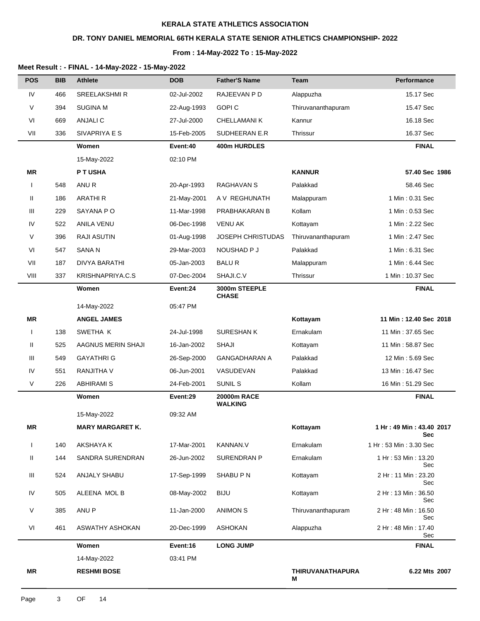### **DR. TONY DANIEL MEMORIAL 66TH KERALA STATE SENIOR ATHLETICS CHAMPIONSHIP- 2022**

#### **From : 14-May-2022 To : 15-May-2022**

| <b>POS</b>   | <b>BIB</b> | <b>Athlete</b>          | <b>DOB</b>  | <b>Father'S Name</b>          | <b>Team</b>                  | Performance                            |
|--------------|------------|-------------------------|-------------|-------------------------------|------------------------------|----------------------------------------|
| IV           | 466        | <b>SREELAKSHMIR</b>     | 02-Jul-2002 | RAJEEVAN P D                  | Alappuzha                    | 15.17 Sec                              |
| V            | 394        | <b>SUGINA M</b>         | 22-Aug-1993 | <b>GOPIC</b>                  | Thiruvananthapuram           | 15.47 Sec                              |
| VI           | 669        | <b>ANJALIC</b>          | 27-Jul-2000 | CHELLAMANI K                  | Kannur                       | 16.18 Sec                              |
| VII          | 336        | SIVAPRIYA E S           | 15-Feb-2005 | SUDHEERAN E.R                 | Thrissur                     | 16.37 Sec                              |
|              |            | Women                   | Event:40    | 400m HURDLES                  |                              | <b>FINAL</b>                           |
|              |            | 15-May-2022             | 02:10 PM    |                               |                              |                                        |
| ΜR           |            | P T USHA                |             |                               | <b>KANNUR</b>                | 57.40 Sec 1986                         |
| $\mathbf{I}$ | 548        | ANU <sub>R</sub>        | 20-Apr-1993 | RAGHAVAN S                    | Palakkad                     | 58.46 Sec                              |
| Ш            | 186        | <b>ARATHIR</b>          | 21-May-2001 | A V REGHUNATH                 | Malappuram                   | 1 Min: 0.31 Sec                        |
| Ш            | 229        | SAYANA PO               | 11-Mar-1998 | PRABHAKARAN B                 | Kollam                       | 1 Min: 0.53 Sec                        |
| IV           | 522        | ANILA VENU              | 06-Dec-1998 | <b>VENU AK</b>                | Kottayam                     | 1 Min: 2.22 Sec                        |
| V            | 396        | <b>RAJI ASUTIN</b>      | 01-Aug-1998 | <b>JOSEPH CHRISTUDAS</b>      | Thiruvananthapuram           | 1 Min: 2.47 Sec                        |
| VI           | 547        | SANA N                  | 29-Mar-2003 | NOUSHAD P J                   | Palakkad                     | 1 Min: 6.31 Sec                        |
| VII          | 187        | <b>DIVYA BARATHI</b>    | 05-Jan-2003 | <b>BALUR</b>                  | Malappuram                   | 1 Min: 6.44 Sec                        |
| VIII         | 337        | KRISHNAPRIYA.C.S        | 07-Dec-2004 | SHAJI.C.V                     | Thrissur                     | 1 Min: 10.37 Sec                       |
|              |            | Women                   | Event:24    | 3000m STEEPLE<br><b>CHASE</b> |                              | <b>FINAL</b>                           |
|              |            | 14-May-2022             | 05:47 PM    |                               |                              |                                        |
| <b>MR</b>    |            | <b>ANGEL JAMES</b>      |             |                               | Kottayam                     | 11 Min: 12.40 Sec 2018                 |
|              | 138        | SWETHA K                | 24-Jul-1998 | <b>SURESHANK</b>              | Ernakulam                    | 11 Min: 37.65 Sec                      |
| Ш            | 525        | AAGNUS MERIN SHAJI      | 16-Jan-2002 | <b>SHAJI</b>                  | Kottayam                     | 11 Min: 58.87 Sec                      |
| Ш            | 549        | <b>GAYATHRI G</b>       | 26-Sep-2000 | <b>GANGADHARAN A</b>          | Palakkad                     | 12 Min: 5.69 Sec                       |
| IV           | 551        | RANJITHA V              | 06-Jun-2001 | VASUDEVAN                     | Palakkad                     | 13 Min: 16.47 Sec                      |
| $\vee$       | 226        | <b>ABHIRAMI S</b>       | 24-Feb-2001 | SUNIL S                       | Kollam                       | 16 Min: 51.29 Sec                      |
|              |            | Women                   | Event:29    | 20000m RACE<br><b>WALKING</b> |                              | <b>FINAL</b>                           |
|              |            | 15-May-2022             | 09:32 AM    |                               |                              |                                        |
| ΜR           |            | <b>MARY MARGARET K.</b> |             |                               | Kottayam                     | 1 Hr: 49 Min: 43.40 2017<br><b>Sec</b> |
| $\mathbf{I}$ | 140        | AKSHAYA K               | 17-Mar-2001 | <b>KANNAN.V</b>               | Ernakulam                    | 1 Hr: 53 Min: 3.30 Sec                 |
| Ш            | 144        | SANDRA SURENDRAN        | 26-Jun-2002 | <b>SURENDRAN P</b>            | Ernakulam                    | 1 Hr: 53 Min: 13.20<br>Sec             |
| Ш            | 524        | <b>ANJALY SHABU</b>     | 17-Sep-1999 | SHABU P N                     | Kottayam                     | 2 Hr: 11 Min: 23.20<br>Sec             |
| IV           | 505        | ALEENA MOL B            | 08-May-2002 | <b>BIJU</b>                   | Kottayam                     | 2 Hr: 13 Min: 36.50<br>Sec             |
| V            | 385        | ANU P                   | 11-Jan-2000 | <b>ANIMON S</b>               | Thiruvananthapuram           | 2 Hr : 48 Min : 16.50<br>Sec           |
| VI           | 461        | ASWATHY ASHOKAN         | 20-Dec-1999 | ASHOKAN                       | Alappuzha                    | 2 Hr: 48 Min: 17.40<br>Sec             |
|              |            | Women                   | Event:16    | <b>LONG JUMP</b>              |                              | <b>FINAL</b>                           |
|              |            | 14-May-2022             | 03:41 PM    |                               |                              |                                        |
| ΜR           |            | <b>RESHMI BOSE</b>      |             |                               | <b>THIRUVANATHAPURA</b><br>м | 6.22 Mts 2007                          |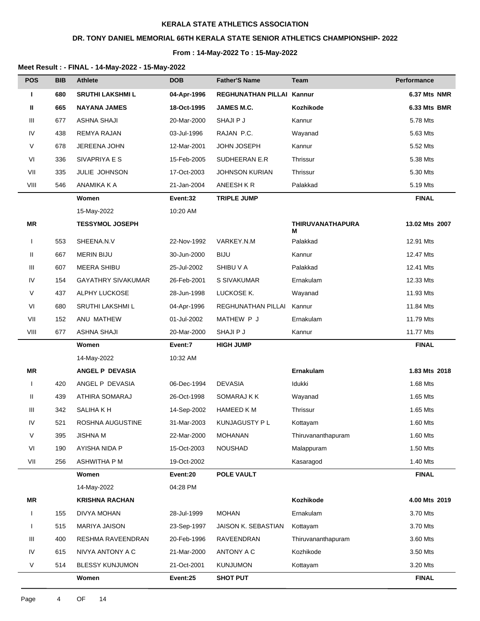## **DR. TONY DANIEL MEMORIAL 66TH KERALA STATE SENIOR ATHLETICS CHAMPIONSHIP- 2022**

#### **From : 14-May-2022 To : 15-May-2022**

| <b>POS</b>   | <b>BIB</b> | <b>Athlete</b>            | <b>DOB</b>  | <b>Father'S Name</b>      | <b>Team</b>                  | <b>Performance</b> |
|--------------|------------|---------------------------|-------------|---------------------------|------------------------------|--------------------|
| т            | 680        | <b>SRUTHI LAKSHMI L</b>   | 04-Apr-1996 | <b>REGHUNATHAN PILLAI</b> | Kannur                       | 6.37 Mts NMR       |
| Ш            | 665        | <b>NAYANA JAMES</b>       | 18-Oct-1995 | JAMES M.C.                | Kozhikode                    | 6.33 Mts BMR       |
| Ш            | 677        | <b>ASHNA SHAJI</b>        | 20-Mar-2000 | SHAJI P J                 | Kannur                       | 5.78 Mts           |
| IV           | 438        | REMYA RAJAN               | 03-Jul-1996 | RAJAN P.C.                | Wayanad                      | 5.63 Mts           |
| V            | 678        | JEREENA JOHN              | 12-Mar-2001 | <b>JOHN JOSEPH</b>        | Kannur                       | 5.52 Mts           |
| VI           | 336        | SIVAPRIYA E S             | 15-Feb-2005 | SUDHEERAN E.R             | Thrissur                     | 5.38 Mts           |
| VII          | 335        | JULIE JOHNSON             | 17-Oct-2003 | <b>JOHNSON KURIAN</b>     | Thrissur                     | 5.30 Mts           |
| VIII         | 546        | ANAMIKA K A               | 21-Jan-2004 | ANEESH K R                | Palakkad                     | 5.19 Mts           |
|              |            | Women                     | Event:32    | <b>TRIPLE JUMP</b>        |                              | <b>FINAL</b>       |
|              |            | 15-May-2022               | 10:20 AM    |                           |                              |                    |
| ΜR           |            | <b>TESSYMOL JOSEPH</b>    |             |                           | <b>THIRUVANATHAPURA</b><br>м | 13.02 Mts 2007     |
| $\mathbf{I}$ | 553        | SHEENA.N.V                | 22-Nov-1992 | VARKEY.N.M                | Palakkad                     | 12.91 Mts          |
| Ш            | 667        | <b>MERIN BIJU</b>         | 30-Jun-2000 | <b>BIJU</b>               | Kannur                       | 12.47 Mts          |
| Ш            | 607        | <b>MEERA SHIBU</b>        | 25-Jul-2002 | SHIBU V A                 | Palakkad                     | 12.41 Mts          |
| IV           | 154        | <b>GAYATHRY SIVAKUMAR</b> | 26-Feb-2001 | S SIVAKUMAR               | Ernakulam                    | 12.33 Mts          |
| V            | 437        | ALPHY LUCKOSE             | 28-Jun-1998 | LUCKOSE K.                | Wayanad                      | 11.93 Mts          |
| VI           | 680        | SRUTHI LAKSHMI L          | 04-Apr-1996 | REGHUNATHAN PILLAI        | Kannur                       | 11.84 Mts          |
| VII          | 152        | ANU MATHEW                | 01-Jul-2002 | MATHEW P J                | Ernakulam                    | 11.79 Mts          |
| VIII         | 677        | <b>ASHNA SHAJI</b>        | 20-Mar-2000 | SHAJI P J                 | Kannur                       | 11.77 Mts          |
|              |            | Women                     | Event:7     | <b>HIGH JUMP</b>          |                              | <b>FINAL</b>       |
|              |            | 14-May-2022               | 10:32 AM    |                           |                              |                    |
| <b>MR</b>    |            | ANGEL P DEVASIA           |             |                           | Ernakulam                    | 1.83 Mts 2018      |
| $\mathbf{I}$ | 420        | ANGEL P DEVASIA           | 06-Dec-1994 | <b>DEVASIA</b>            | Idukki                       | 1.68 Mts           |
| Ш            | 439        | ATHIRA SOMARAJ            | 26-Oct-1998 | SOMARAJ K K               | Wayanad                      | 1.65 Mts           |
| Ш            | 342        | SALIHA KH                 | 14-Sep-2002 | <b>HAMEED KM</b>          | Thrissur                     | 1.65 Mts           |
| IV           | 521        | ROSHNA AUGUSTINE          | 31-Mar-2003 | KUNJAGUSTY P L            | Kottayam                     | 1.60 Mts           |
| V            | 395        | <b>JISHNA M</b>           | 22-Mar-2000 | <b>MOHANAN</b>            | Thiruvananthapuram           | 1.60 Mts           |
| VI           | 190        | AYISHA NIDA P             | 15-Oct-2003 | <b>NOUSHAD</b>            | Malappuram                   | 1.50 Mts           |
| VII          | 256        | ASHWITHA P M              | 19-Oct-2002 |                           | Kasaragod                    | 1.40 Mts           |
|              |            | Women                     | Event:20    | <b>POLE VAULT</b>         |                              | <b>FINAL</b>       |
|              |            | 14-May-2022               | 04:28 PM    |                           |                              |                    |
| MR           |            | <b>KRISHNA RACHAN</b>     |             |                           | Kozhikode                    | 4.00 Mts 2019      |
| <b>I</b>     | 155        | DIVYA MOHAN               | 28-Jul-1999 | <b>MOHAN</b>              | Ernakulam                    | 3.70 Mts           |
|              | 515        | <b>MARIYA JAISON</b>      | 23-Sep-1997 | JAISON K. SEBASTIAN       | Kottayam                     | 3.70 Mts           |
| Ш            | 400        | RESHMA RAVEENDRAN         | 20-Feb-1996 | RAVEENDRAN                | Thiruvananthapuram           | 3.60 Mts           |
| IV           | 615        | NIVYA ANTONY A C          | 21-Mar-2000 | ANTONY A C                | Kozhikode                    | 3.50 Mts           |
| V            | 514        | <b>BLESSY KUNJUMON</b>    | 21-Oct-2001 | <b>KUNJUMON</b>           | Kottayam                     | 3.20 Mts           |
|              |            | Women                     | Event:25    | <b>SHOT PUT</b>           |                              | <b>FINAL</b>       |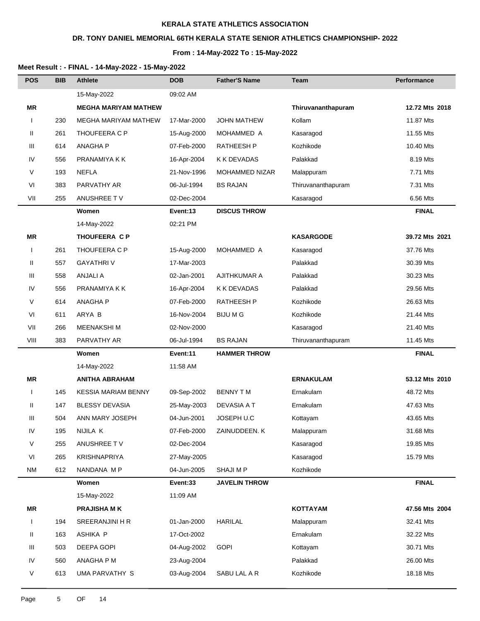# **DR. TONY DANIEL MEMORIAL 66TH KERALA STATE SENIOR ATHLETICS CHAMPIONSHIP- 2022**

#### **From : 14-May-2022 To : 15-May-2022**

| <b>POS</b>   | BIB | <b>Athlete</b>              | <b>DOB</b>  | <b>Father'S Name</b> | Team               | <b>Performance</b> |
|--------------|-----|-----------------------------|-------------|----------------------|--------------------|--------------------|
|              |     | 15-May-2022                 | 09:02 AM    |                      |                    |                    |
| <b>MR</b>    |     | <b>MEGHA MARIYAM MATHEW</b> |             |                      | Thiruvananthapuram | 12.72 Mts 2018     |
| $\mathbf{I}$ | 230 | <b>MEGHA MARIYAM MATHEW</b> | 17-Mar-2000 | <b>JOHN MATHEW</b>   | Kollam             | 11.87 Mts          |
| Ш            | 261 | THOUFEERA C P               | 15-Aug-2000 | MOHAMMED A           | Kasaragod          | 11.55 Mts          |
| Ш            | 614 | <b>ANAGHA P</b>             | 07-Feb-2000 | <b>RATHEESH P</b>    | Kozhikode          | 10.40 Mts          |
| IV           | 556 | PRANAMIYA K K               | 16-Apr-2004 | <b>K K DEVADAS</b>   | Palakkad           | 8.19 Mts           |
| V            | 193 | <b>NEFLA</b>                | 21-Nov-1996 | MOHAMMED NIZAR       | Malappuram         | 7.71 Mts           |
| VI           | 383 | PARVATHY AR                 | 06-Jul-1994 | <b>BS RAJAN</b>      | Thiruvananthapuram | 7.31 Mts           |
| VII          | 255 | ANUSHREE TV                 | 02-Dec-2004 |                      | Kasaragod          | 6.56 Mts           |
|              |     | Women                       | Event:13    | <b>DISCUS THROW</b>  |                    | <b>FINAL</b>       |
|              |     | 14-May-2022                 | 02:21 PM    |                      |                    |                    |
| <b>MR</b>    |     | <b>THOUFEERA C P</b>        |             |                      | <b>KASARGODE</b>   | 39.72 Mts 2021     |
| $\mathbf{I}$ | 261 | THOUFEERA C P               | 15-Aug-2000 | MOHAMMED A           | Kasaragod          | 37.76 Mts          |
| Ш            | 557 | <b>GAYATHRIV</b>            | 17-Mar-2003 |                      | Palakkad           | 30.39 Mts          |
| Ш            | 558 | <b>ANJALI A</b>             | 02-Jan-2001 | <b>AJITHKUMAR A</b>  | Palakkad           | 30.23 Mts          |
| IV           | 556 | PRANAMIYA K K               | 16-Apr-2004 | K K DEVADAS          | Palakkad           | 29.56 Mts          |
| V            | 614 | <b>ANAGHAP</b>              | 07-Feb-2000 | <b>RATHEESH P</b>    | Kozhikode          | 26.63 Mts          |
| VI           | 611 | ARYA B                      | 16-Nov-2004 | <b>BIJUMG</b>        | Kozhikode          | 21.44 Mts          |
| VII          | 266 | <b>MEENAKSHIM</b>           | 02-Nov-2000 |                      | Kasaragod          | 21.40 Mts          |
| VIII         | 383 | PARVATHY AR                 | 06-Jul-1994 | <b>BS RAJAN</b>      | Thiruvananthapuram | 11.45 Mts          |
|              |     | Women                       | Event:11    | <b>HAMMER THROW</b>  |                    | <b>FINAL</b>       |
|              |     | 14-May-2022                 | 11:58 AM    |                      |                    |                    |
| MR           |     | <b>ANITHA ABRAHAM</b>       |             |                      | <b>ERNAKULAM</b>   | 53.12 Mts 2010     |
| $\mathbf{I}$ | 145 | <b>KESSIA MARIAM BENNY</b>  | 09-Sep-2002 | <b>BENNY TM</b>      | Ernakulam          | 48.72 Mts          |
| Ш            | 147 | <b>BLESSY DEVASIA</b>       | 25-May-2003 | <b>DEVASIA A T</b>   | Ernakulam          | 47.63 Mts          |
| Ш            | 504 | ANN MARY JOSEPH             | 04-Jun-2001 | JOSEPH U.C           | Kottayam           | 43.65 Mts          |
| ${\sf IV}$   | 195 | NIJILA K                    | 07-Feb-2000 | ZAINUDDEEN. K        | Malappuram         | 31.68 Mts          |
| V            | 255 | ANUSHREE TV                 | 02-Dec-2004 |                      | Kasaragod          | 19.85 Mts          |
| VI           | 265 | KRISHNAPRIYA                | 27-May-2005 |                      | Kasaragod          | 15.79 Mts          |
| <b>NM</b>    | 612 | NANDANA M P                 | 04-Jun-2005 | SHAJI M P            | Kozhikode          |                    |
|              |     | Women                       | Event:33    | <b>JAVELIN THROW</b> |                    | <b>FINAL</b>       |
|              |     | 15-May-2022                 | 11:09 AM    |                      |                    |                    |
| MR           |     | <b>PRAJISHA MK</b>          |             |                      | <b>KOTTAYAM</b>    | 47.56 Mts 2004     |
| $\mathbf{I}$ | 194 | SREERANJINI H R             | 01-Jan-2000 | <b>HARILAL</b>       | Malappuram         | 32.41 Mts          |
| Ш            | 163 | ASHIKA P                    | 17-Oct-2002 |                      | Ernakulam          | 32.22 Mts          |
| Ш            | 503 | DEEPA GOPI                  | 04-Aug-2002 | <b>GOPI</b>          | Kottayam           | 30.71 Mts          |
| IV           | 560 | ANAGHA P M                  | 23-Aug-2004 |                      | Palakkad           | 26.00 Mts          |
| V            | 613 | <b>UMA PARVATHY S</b>       | 03-Aug-2004 | SABU LAL A R         | Kozhikode          | 18.18 Mts          |
|              |     |                             |             |                      |                    |                    |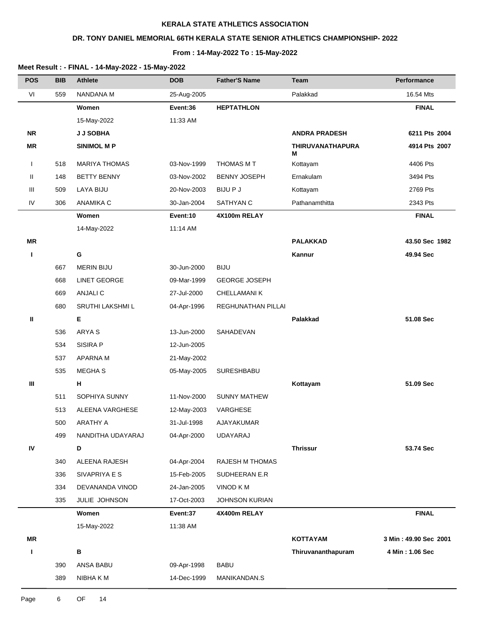## **DR. TONY DANIEL MEMORIAL 66TH KERALA STATE SENIOR ATHLETICS CHAMPIONSHIP- 2022**

#### **From : 14-May-2022 To : 15-May-2022**

| <b>POS</b>   | <b>BIB</b> | <b>Athlete</b>       | <b>DOB</b>  | <b>Father'S Name</b>   | <b>Team</b>                  | Performance           |
|--------------|------------|----------------------|-------------|------------------------|------------------------------|-----------------------|
| VI           | 559        | <b>NANDANA M</b>     | 25-Aug-2005 |                        | Palakkad                     | 16.54 Mts             |
|              |            | Women                | Event:36    | <b>HEPTATHLON</b>      |                              | <b>FINAL</b>          |
|              |            | 15-May-2022          | 11:33 AM    |                        |                              |                       |
| <b>NR</b>    |            | <b>JJ SOBHA</b>      |             |                        | <b>ANDRA PRADESH</b>         | 6211 Pts 2004         |
| MR           |            | <b>SINIMOL M P</b>   |             |                        | <b>THIRUVANATHAPURA</b><br>Μ | 4914 Pts 2007         |
| $\mathbf{I}$ | 518        | <b>MARIYA THOMAS</b> | 03-Nov-1999 | THOMAS M T             | Kottayam                     | 4406 Pts              |
| Ш            | 148        | <b>BETTY BENNY</b>   | 03-Nov-2002 | <b>BENNY JOSEPH</b>    | Ernakulam                    | 3494 Pts              |
| Ш            | 509        | <b>LAYA BIJU</b>     | 20-Nov-2003 | <b>BIJUPJ</b>          | Kottayam                     | 2769 Pts              |
| IV           | 306        | ANAMIKA C            | 30-Jan-2004 | SATHYAN C              | Pathanamthitta               | 2343 Pts              |
|              |            | Women                | Event:10    | 4X100m RELAY           |                              | <b>FINAL</b>          |
|              |            | 14-May-2022          | 11:14 AM    |                        |                              |                       |
| ΜR           |            |                      |             |                        | <b>PALAKKAD</b>              | 43.50 Sec 1982        |
| ı            |            | ${\bf G}$            |             |                        | Kannur                       | 49.94 Sec             |
|              | 667        | <b>MERIN BIJU</b>    | 30-Jun-2000 | <b>BIJU</b>            |                              |                       |
|              | 668        | <b>LINET GEORGE</b>  | 09-Mar-1999 | <b>GEORGE JOSEPH</b>   |                              |                       |
|              | 669        | ANJALI C             | 27-Jul-2000 | CHELLAMANI K           |                              |                       |
|              | 680        | SRUTHI LAKSHMI L     | 04-Apr-1996 | REGHUNATHAN PILLAI     |                              |                       |
| Ш            |            | E                    |             |                        | Palakkad                     | 51.08 Sec             |
|              | 536        | ARYA <sub>S</sub>    | 13-Jun-2000 | SAHADEVAN              |                              |                       |
|              | 534        | SISIRA P             | 12-Jun-2005 |                        |                              |                       |
|              | 537        | APARNA M             | 21-May-2002 |                        |                              |                       |
|              | 535        | MEGHA S              | 05-May-2005 | SURESHBABU             |                              |                       |
| Ш            |            | н                    |             |                        | Kottayam                     | 51.09 Sec             |
|              | 511        | SOPHIYA SUNNY        | 11-Nov-2000 | <b>SUNNY MATHEW</b>    |                              |                       |
|              | 513        | ALEENA VARGHESE      | 12-May-2003 | VARGHESE               |                              |                       |
|              | 500        | ARATHY A             | 31-Jul-1998 | AJAYAKUMAR             |                              |                       |
|              | 499        | NANDITHA UDAYARAJ    | 04-Apr-2000 | <b>UDAYARAJ</b>        |                              |                       |
| ${\sf IV}$   |            | D                    |             |                        | <b>Thrissur</b>              | 53.74 Sec             |
|              | 340        | ALEENA RAJESH        | 04-Apr-2004 | <b>RAJESH M THOMAS</b> |                              |                       |
|              | 336        | SIVAPRIYA E S        | 15-Feb-2005 | SUDHEERAN E.R          |                              |                       |
|              | 334        | DEVANANDA VINOD      | 24-Jan-2005 | VINOD K M              |                              |                       |
|              | 335        | JULIE JOHNSON        | 17-Oct-2003 | <b>JOHNSON KURIAN</b>  |                              |                       |
|              |            | Women                | Event:37    | 4X400m RELAY           |                              | <b>FINAL</b>          |
|              |            | 15-May-2022          | 11:38 AM    |                        |                              |                       |
| MR           |            |                      |             |                        | <b>KOTTAYAM</b>              | 3 Min: 49.90 Sec 2001 |
| L            |            | $\, {\bf B}$         |             |                        | Thiruvananthapuram           | 4 Min: 1.06 Sec       |
|              | 390        | ANSA BABU            | 09-Apr-1998 | <b>BABU</b>            |                              |                       |
|              | 389        | NIBHA K M            | 14-Dec-1999 | MANIKANDAN.S           |                              |                       |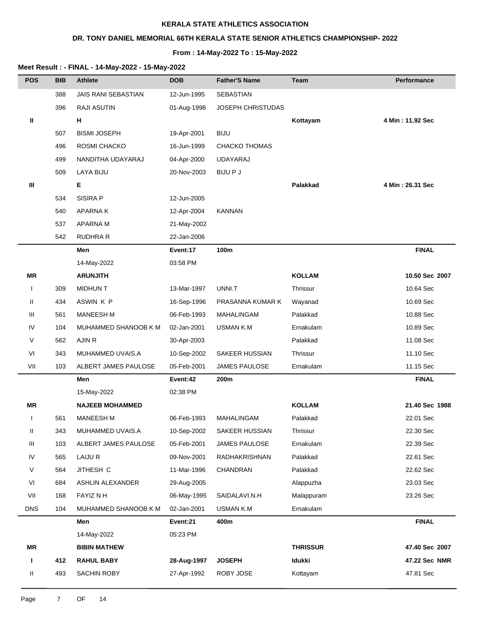## **DR. TONY DANIEL MEMORIAL 66TH KERALA STATE SENIOR ATHLETICS CHAMPIONSHIP- 2022**

#### **From : 14-May-2022 To : 15-May-2022**

| <b>POS</b>   | <b>BIB</b> | <b>Athlete</b>         | <b>DOB</b>  | <b>Father'S Name</b>     | <b>Team</b>     | Performance      |
|--------------|------------|------------------------|-------------|--------------------------|-----------------|------------------|
|              | 388        | JAIS RANI SEBASTIAN    | 12-Jun-1995 | SEBASTIAN                |                 |                  |
|              | 396        | <b>RAJI ASUTIN</b>     | 01-Aug-1998 | <b>JOSEPH CHRISTUDAS</b> |                 |                  |
| Ш            |            | н                      |             |                          | Kottayam        | 4 Min: 11.92 Sec |
|              | 507        | <b>BISMI JOSEPH</b>    | 19-Apr-2001 | <b>BIJU</b>              |                 |                  |
|              | 496        | ROSMI CHACKO           | 16-Jun-1999 | <b>CHACKO THOMAS</b>     |                 |                  |
|              | 499        | NANDITHA UDAYARAJ      | 04-Apr-2000 | <b>UDAYARAJ</b>          |                 |                  |
|              | 509        | LAYA BIJU              | 20-Nov-2003 | <b>BIJUPJ</b>            |                 |                  |
| Ш            |            | Е                      |             |                          | Palakkad        | 4 Min: 26.31 Sec |
|              | 534        | <b>SISIRA P</b>        | 12-Jun-2005 |                          |                 |                  |
|              | 540        | <b>APARNAK</b>         | 12-Apr-2004 | <b>KANNAN</b>            |                 |                  |
|              | 537        | APARNA M               | 21-May-2002 |                          |                 |                  |
|              | 542        | <b>RUDHRA R</b>        | 22-Jan-2006 |                          |                 |                  |
|              |            | Men                    | Event:17    | 100m                     |                 | <b>FINAL</b>     |
|              |            | 14-May-2022            | 03:58 PM    |                          |                 |                  |
| <b>MR</b>    |            | <b>ARUNJITH</b>        |             |                          | <b>KOLLAM</b>   | 10.50 Sec 2007   |
| $\mathbf{I}$ | 309        | <b>MIDHUN T</b>        | 13-Mar-1997 | UNNI.T                   | Thrissur        | 10.64 Sec        |
| Ш            | 434        | ASWIN K P              | 16-Sep-1996 | PRASANNA KUMAR K         | Wayanad         | 10.69 Sec        |
| Ш            | 561        | <b>MANEESH M</b>       | 06-Feb-1993 | MAHALINGAM               | Palakkad        | 10.88 Sec        |
| IV           | 104        | MUHAMMED SHANOOB K M   | 02-Jan-2001 | <b>USMAN K.M</b>         | Ernakulam       | 10.89 Sec        |
| $\vee$       | 562        | AJIN R                 | 30-Apr-2003 |                          | Palakkad        | 11.08 Sec        |
| VI           | 343        | MUHAMMED UVAIS.A       | 10-Sep-2002 | SAKEER HUSSIAN           | Thrissur        | 11.10 Sec        |
| VII          | 103        | ALBERT JAMES PAULOSE   | 05-Feb-2001 | <b>JAMES PAULOSE</b>     | Ernakulam       | 11.15 Sec        |
|              |            | Men                    | Event:42    | 200m                     |                 | <b>FINAL</b>     |
|              |            | 15-May-2022            | 02:38 PM    |                          |                 |                  |
| ΜR           |            | <b>NAJEEB MOHAMMED</b> |             |                          | <b>KOLLAM</b>   | 21.40 Sec 1988   |
| $\mathbf{I}$ | 561        | <b>MANEESH M</b>       | 06-Feb-1993 | MAHALINGAM               | Palakkad        | 22.01 Sec        |
| Ш            | 343        | MUHAMMED UVAIS.A       | 10-Sep-2002 | <b>SAKEER HUSSIAN</b>    | Thrissur        | 22.30 Sec        |
| Ш            | 103        | ALBERT JAMES PAULOSE   | 05-Feb-2001 | <b>JAMES PAULOSE</b>     | Ernakulam       | 22.39 Sec        |
| IV           | 565        | LAIJU R                | 09-Nov-2001 | RADHAKRISHNAN            | Palakkad        | 22.61 Sec        |
| $\vee$       | 564        | JITHESH C              | 11-Mar-1996 | CHANDRAN                 | Palakkad        | 22.62 Sec        |
| VI           | 684        | ASHLIN ALEXANDER       | 29-Aug-2005 |                          | Alappuzha       | 23.03 Sec        |
| VII          | 168        | FAYIZ N H              | 06-May-1995 | SAIDALAVI.N.H            | Malappuram      | 23.26 Sec        |
| <b>DNS</b>   | 104        | MUHAMMED SHANOOB K M   | 02-Jan-2001 | <b>USMAN K.M</b>         | Ernakulam       |                  |
|              |            | Men                    | Event:21    | 400m                     |                 | <b>FINAL</b>     |
|              |            | 14-May-2022            | 05:23 PM    |                          |                 |                  |
| MR           |            | <b>BIBIN MATHEW</b>    |             |                          | <b>THRISSUR</b> | 47.40 Sec 2007   |
| Ш            | 412        | <b>RAHUL BABY</b>      | 28-Aug-1997 | <b>JOSEPH</b>            | Idukki          | 47.22 Sec NMR    |
| Ш            | 493        | SACHIN ROBY            | 27-Apr-1992 | ROBY JOSE                | Kottayam        | 47.81 Sec        |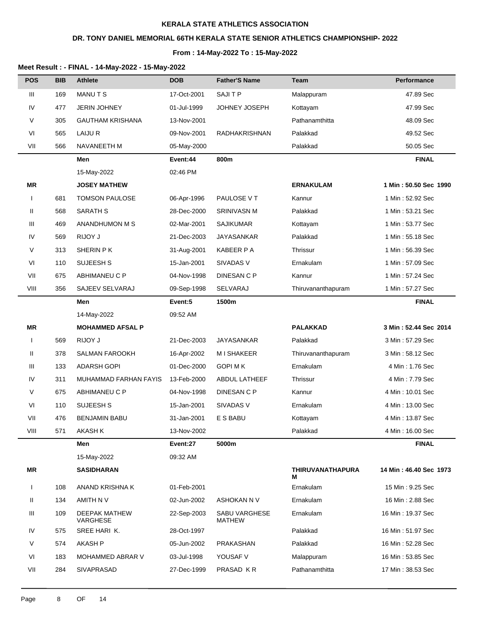## **DR. TONY DANIEL MEMORIAL 66TH KERALA STATE SENIOR ATHLETICS CHAMPIONSHIP- 2022**

#### **From : 14-May-2022 To : 15-May-2022**

| <b>POS</b>   | <b>BIB</b> | Athlete                   | <b>DOB</b>  | <b>Father'S Name</b>           | Team                         | Performance            |
|--------------|------------|---------------------------|-------------|--------------------------------|------------------------------|------------------------|
| Ш            | 169        | <b>MANUTS</b>             | 17-Oct-2001 | SAJI T P                       | Malappuram                   | 47.89 Sec              |
| IV           | 477        | <b>JERIN JOHNEY</b>       | 01-Jul-1999 | JOHNEY JOSEPH                  | Kottayam                     | 47.99 Sec              |
| V            | 305        | <b>GAUTHAM KRISHANA</b>   | 13-Nov-2001 |                                | Pathanamthitta               | 48.09 Sec              |
| VI           | 565        | LAIJU R                   | 09-Nov-2001 | RADHAKRISHNAN                  | Palakkad                     | 49.52 Sec              |
| VII          | 566        | NAVANEETH M               | 05-May-2000 |                                | Palakkad                     | 50.05 Sec              |
|              |            | Men                       | Event:44    | 800m                           |                              | <b>FINAL</b>           |
|              |            | 15-May-2022               | 02:46 PM    |                                |                              |                        |
| MR           |            | <b>JOSEY MATHEW</b>       |             |                                | <b>ERNAKULAM</b>             | 1 Min: 50.50 Sec 1990  |
| $\mathbf{I}$ | 681        | <b>TOMSON PAULOSE</b>     | 06-Apr-1996 | PAULOSE V T                    | Kannur                       | 1 Min: 52.92 Sec       |
| Ш            | 568        | <b>SARATH S</b>           | 28-Dec-2000 | <b>SRINIVASN M</b>             | Palakkad                     | 1 Min: 53.21 Sec       |
| Ш            | 469        | ANANDHUMON M S            | 02-Mar-2001 | <b>SAJIKUMAR</b>               | Kottayam                     | 1 Min: 53.77 Sec       |
| IV           | 569        | RIJOY J                   | 21-Dec-2003 | <b>JAYASANKAR</b>              | Palakkad                     | 1 Min: 55.18 Sec       |
| V            | 313        | SHERIN P K                | 31-Aug-2001 | KABEER P A                     | Thrissur                     | 1 Min: 56.39 Sec       |
| VI           | 110        | SUJEESH S                 | 15-Jan-2001 | SIVADAS V                      | Ernakulam                    | 1 Min: 57.09 Sec       |
| VII          | 675        | ABHIMANEU C P             | 04-Nov-1998 | DINESAN C P                    | Kannur                       | 1 Min: 57.24 Sec       |
| VIII         | 356        | SAJEEV SELVARAJ           | 09-Sep-1998 | <b>SELVARAJ</b>                | Thiruvananthapuram           | 1 Min: 57.27 Sec       |
|              |            | Men                       | Event:5     | 1500m                          |                              | <b>FINAL</b>           |
|              |            | 14-May-2022               | 09:52 AM    |                                |                              |                        |
| MR           |            | <b>MOHAMMED AFSAL P</b>   |             |                                | <b>PALAKKAD</b>              | 3 Min: 52.44 Sec 2014  |
| $\mathbf{I}$ | 569        | RIJOY J                   | 21-Dec-2003 | <b>JAYASANKAR</b>              | Palakkad                     | 3 Min: 57.29 Sec       |
| Ш            | 378        | <b>SALMAN FAROOKH</b>     | 16-Apr-2002 | M I SHAKEER                    | Thiruvananthapuram           | 3 Min: 58.12 Sec       |
| Ш            | 133        | <b>ADARSH GOPI</b>        | 01-Dec-2000 | <b>GOPI MK</b>                 | Ernakulam                    | 4 Min: 1.76 Sec        |
| IV           | 311        | MUHAMMAD FARHAN FAYIS     | 13-Feb-2000 | <b>ABDUL LATHEEF</b>           | <b>Thrissur</b>              | 4 Min: 7.79 Sec        |
| V            | 675        | ABHIMANEU C P             | 04-Nov-1998 | DINESAN C P                    | Kannur                       | 4 Min: 10.01 Sec       |
| VI           | 110        | SUJEESH S                 | 15-Jan-2001 | SIVADAS V                      | Ernakulam                    | 4 Min: 13.00 Sec       |
| VII          | 476        | <b>BENJAMIN BABU</b>      | 31-Jan-2001 | E S BABU                       | Kottayam                     | 4 Min: 13.87 Sec       |
| VIII         | 571        | <b>AKASH K</b>            | 13-Nov-2002 |                                | Palakkad                     | 4 Min: 16.00 Sec       |
|              |            | Men                       | Event:27    | 5000m                          |                              | <b>FINAL</b>           |
|              |            | 15-May-2022               | 09:32 AM    |                                |                              |                        |
| MR           |            | <b>SASIDHARAN</b>         |             |                                | <b>THIRUVANATHAPURA</b><br>м | 14 Min: 46.40 Sec 1973 |
| $\mathbf{I}$ | 108        | ANAND KRISHNA K           | 01-Feb-2001 |                                | Ernakulam                    | 15 Min: 9.25 Sec       |
| Ш            | 134        | AMITH N V                 | 02-Jun-2002 | ASHOKAN N V                    | Ernakulam                    | 16 Min: 2.88 Sec       |
| Ш            | 109        | DEEPAK MATHEW<br>VARGHESE | 22-Sep-2003 | <b>SABU VARGHESE</b><br>MATHEW | Ernakulam                    | 16 Min: 19.37 Sec      |
| IV           | 575        | SREE HARI K.              | 28-Oct-1997 |                                | Palakkad                     | 16 Min: 51.97 Sec      |
| V            | 574        | AKASH P                   | 05-Jun-2002 | PRAKASHAN                      | Palakkad                     | 16 Min: 52.28 Sec      |
| VI           | 183        | <b>MOHAMMED ABRAR V</b>   | 03-Jul-1998 | YOUSAF V                       | Malappuram                   | 16 Min: 53.85 Sec      |
| VII          | 284        | SIVAPRASAD                | 27-Dec-1999 | PRASAD KR                      | Pathanamthitta               | 17 Min: 38.53 Sec      |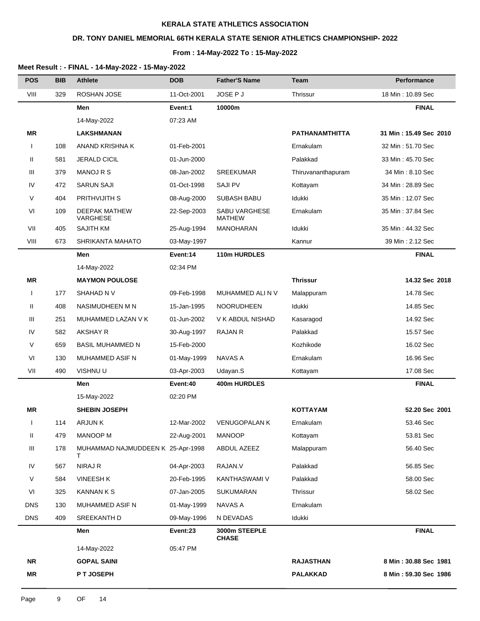## **DR. TONY DANIEL MEMORIAL 66TH KERALA STATE SENIOR ATHLETICS CHAMPIONSHIP- 2022**

#### **From : 14-May-2022 To : 15-May-2022**

| <b>POS</b>   | <b>BIB</b> | <b>Athlete</b>                         | <b>DOB</b>  | <b>Father'S Name</b>           | <b>Team</b>           | Performance            |
|--------------|------------|----------------------------------------|-------------|--------------------------------|-----------------------|------------------------|
| VIII         | 329        | ROSHAN JOSE                            | 11-Oct-2001 | JOSE P J                       | Thrissur              | 18 Min: 10.89 Sec      |
|              |            | Men                                    | Event:1     | 10000m                         |                       | <b>FINAL</b>           |
|              |            | 14-May-2022                            | 07:23 AM    |                                |                       |                        |
| <b>MR</b>    |            | LAKSHMANAN                             |             |                                | <b>PATHANAMTHITTA</b> | 31 Min: 15.49 Sec 2010 |
| $\mathbf{I}$ | 108        | ANAND KRISHNA K                        | 01-Feb-2001 |                                | Ernakulam             | 32 Min: 51.70 Sec      |
| Ш            | 581        | JERALD CICIL                           | 01-Jun-2000 |                                | Palakkad              | 33 Min: 45.70 Sec      |
| Ш            | 379        | <b>MANOJ R S</b>                       | 08-Jan-2002 | <b>SREEKUMAR</b>               | Thiruvananthapuram    | 34 Min: 8.10 Sec       |
| IV           | 472        | <b>SARUN SAJI</b>                      | 01-Oct-1998 | <b>SAJI PV</b>                 | Kottayam              | 34 Min: 28.89 Sec      |
| $\vee$       | 404        | PRITHVIJITH S                          | 08-Aug-2000 | <b>SUBASH BABU</b>             | Idukki                | 35 Min: 12.07 Sec      |
| VI           | 109        | DEEPAK MATHEW<br>VARGHESE              | 22-Sep-2003 | SABU VARGHESE<br><b>MATHEW</b> | Ernakulam             | 35 Min: 37.84 Sec      |
| VII          | 405        | <b>SAJITH KM</b>                       | 25-Aug-1994 | <b>MANOHARAN</b>               | Idukki                | 35 Min: 44.32 Sec      |
| VIII         | 673        | SHRIKANTA MAHATO                       | 03-May-1997 |                                | Kannur                | 39 Min: 2.12 Sec       |
|              |            | Men                                    | Event:14    | 110m HURDLES                   |                       | <b>FINAL</b>           |
|              |            | 14-May-2022                            | 02:34 PM    |                                |                       |                        |
| <b>MR</b>    |            | <b>MAYMON POULOSE</b>                  |             |                                | <b>Thrissur</b>       | 14.32 Sec 2018         |
| $\mathsf{l}$ | 177        | SHAHAD N V                             | 09-Feb-1998 | MUHAMMED ALI N V               | Malappuram            | 14.78 Sec              |
| Ш            | 408        | NASIMUDHEEN M N                        | 15-Jan-1995 | <b>NOORUDHEEN</b>              | Idukki                | 14.85 Sec              |
| Ш            | 251        | MUHAMMED LAZAN V K                     | 01-Jun-2002 | V K ABDUL NISHAD               | Kasaragod             | 14.92 Sec              |
| IV           | 582        | AKSHAY R                               | 30-Aug-1997 | <b>RAJAN R</b>                 | Palakkad              | 15.57 Sec              |
| V            | 659        | <b>BASIL MUHAMMED N</b>                | 15-Feb-2000 |                                | Kozhikode             | 16.02 Sec              |
| VI           | 130        | MUHAMMED ASIF N                        | 01-May-1999 | NAVAS A                        | Ernakulam             | 16.96 Sec              |
| VII          | 490        | VISHNU U                               | 03-Apr-2003 | Udayan.S                       | Kottayam              | 17.08 Sec              |
|              |            | Men                                    | Event:40    | 400m HURDLES                   |                       | <b>FINAL</b>           |
|              |            | 15-May-2022                            | 02:20 PM    |                                |                       |                        |
| <b>MR</b>    |            | <b>SHEBIN JOSEPH</b>                   |             |                                | <b>KOTTAYAM</b>       | 52.20 Sec 2001         |
| $\mathbf{I}$ | 114        | ARJUN K                                | 12-Mar-2002 | <b>VENUGOPALAN K</b>           | Ernakulam             | 53.46 Sec              |
| Ш.           | 479        | <b>MANOOP M</b>                        | 22-Aug-2001 | <b>MANOOP</b>                  | Kottayam              | 53.81 Sec              |
| Ш            | 178        | MUHAMMAD NAJMUDDEEN K 25-Apr-1998<br>т |             | ABDUL AZEEZ                    | Malappuram            | 56.40 Sec              |
| IV           | 567        | NIRAJ R                                | 04-Apr-2003 | RAJAN.V                        | Palakkad              | 56.85 Sec              |
| $\vee$       | 584        | <b>VINEESH K</b>                       | 20-Feb-1995 | KANTHASWAMI V                  | Palakkad              | 58.00 Sec              |
| VI           | 325        | <b>KANNAN K S</b>                      | 07-Jan-2005 | SUKUMARAN                      | Thrissur              | 58.02 Sec              |
| <b>DNS</b>   | 130        | MUHAMMED ASIF N                        | 01-May-1999 | NAVAS A                        | Ernakulam             |                        |
| <b>DNS</b>   | 409        | SREEKANTH D                            | 09-May-1996 | N DEVADAS                      | Idukki                |                        |
|              |            | Men                                    | Event:23    | 3000m STEEPLE<br><b>CHASE</b>  |                       | <b>FINAL</b>           |
|              |            | 14-May-2022                            | 05:47 PM    |                                |                       |                        |
| <b>NR</b>    |            | <b>GOPAL SAINI</b>                     |             |                                | <b>RAJASTHAN</b>      | 8 Min: 30.88 Sec 1981  |
| MR           |            | P T JOSEPH                             |             |                                | <b>PALAKKAD</b>       | 8 Min: 59.30 Sec 1986  |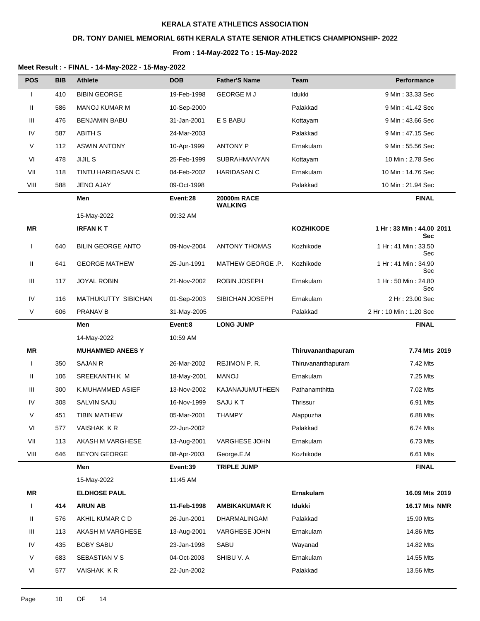## **DR. TONY DANIEL MEMORIAL 66TH KERALA STATE SENIOR ATHLETICS CHAMPIONSHIP- 2022**

#### **From : 14-May-2022 To : 15-May-2022**

| <b>POS</b>   | <b>BIB</b> | <b>Athlete</b>           | <b>DOB</b>  | <b>Father'S Name</b>          | <b>Team</b>        | <b>Performance</b>                     |
|--------------|------------|--------------------------|-------------|-------------------------------|--------------------|----------------------------------------|
| $\mathbf{I}$ | 410        | <b>BIBIN GEORGE</b>      | 19-Feb-1998 | <b>GEORGE MJ</b>              | Idukki             | 9 Min: 33.33 Sec                       |
| Ш            | 586        | <b>MANOJ KUMAR M</b>     | 10-Sep-2000 |                               | Palakkad           | 9 Min: 41.42 Sec                       |
| Ш            | 476        | <b>BENJAMIN BABU</b>     | 31-Jan-2001 | E S BABU                      | Kottayam           | 9 Min: 43.66 Sec                       |
| IV           | 587        | <b>ABITH S</b>           | 24-Mar-2003 |                               | Palakkad           | 9 Min: 47.15 Sec                       |
| V            | 112        | <b>ASWIN ANTONY</b>      | 10-Apr-1999 | <b>ANTONY P</b>               | Ernakulam          | 9 Min: 55.56 Sec                       |
| VI           | 478        | <b>JIJIL S</b>           | 25-Feb-1999 | <b>SUBRAHMANYAN</b>           | Kottayam           | 10 Min: 2.78 Sec                       |
| VII          | 118        | TINTU HARIDASAN C        | 04-Feb-2002 | <b>HARIDASAN C</b>            | Ernakulam          | 10 Min: 14.76 Sec                      |
| VIII         | 588        | <b>JENO AJAY</b>         | 09-Oct-1998 |                               | Palakkad           | 10 Min: 21.94 Sec                      |
|              |            | Men                      | Event:28    | 20000m RACE<br><b>WALKING</b> |                    | <b>FINAL</b>                           |
|              |            | 15-May-2022              | 09:32 AM    |                               |                    |                                        |
| <b>MR</b>    |            | <b>IRFANKT</b>           |             |                               | <b>KOZHIKODE</b>   | 1 Hr: 33 Min: 44.00 2011<br><b>Sec</b> |
| $\mathbf{I}$ | 640        | <b>BILIN GEORGE ANTO</b> | 09-Nov-2004 | <b>ANTONY THOMAS</b>          | Kozhikode          | 1 Hr: 41 Min: 33.50<br>Sec             |
| Ш            | 641        | <b>GEORGE MATHEW</b>     | 25-Jun-1991 | MATHEW GEORGE .P.             | Kozhikode          | 1 Hr: 41 Min: 34.90<br>Sec             |
| Ш            | 117        | <b>JOYAL ROBIN</b>       | 21-Nov-2002 | ROBIN JOSEPH                  | Ernakulam          | 1 Hr: 50 Min: 24.80<br>Sec             |
| IV           | 116        | MATHUKUTTY SIBICHAN      | 01-Sep-2003 | SIBICHAN JOSEPH               | Ernakulam          | 2 Hr: 23.00 Sec                        |
| $\vee$       | 606        | PRANAV B                 | 31-May-2005 |                               | Palakkad           | 2 Hr: 10 Min: 1.20 Sec                 |
|              |            | Men                      | Event:8     | <b>LONG JUMP</b>              |                    | <b>FINAL</b>                           |
|              |            | 14-May-2022              | 10:59 AM    |                               |                    |                                        |
| ΜR           |            | <b>MUHAMMED ANEES Y</b>  |             |                               | Thiruvananthapuram | 7.74 Mts 2019                          |
| $\mathbf{I}$ | 350        | <b>SAJAN R</b>           | 26-Mar-2002 | REJIMON P.R.                  | Thiruvananthapuram | 7.42 Mts                               |
| Ш            | 106        | SREEKANTH K M            | 18-May-2001 | <b>MANOJ</b>                  | Ernakulam          | 7.25 Mts                               |
| Ш            | 300        | K.MUHAMMED ASIEF         | 13-Nov-2002 | KAJANAJUMUTHEEN               | Pathanamthitta     | 7.02 Mts                               |
| IV           | 308        | <b>SALVIN SAJU</b>       | 16-Nov-1999 | SAJU KT                       | Thrissur           | 6.91 Mts                               |
| V            | 451        | <b>TIBIN MATHEW</b>      | 05-Mar-2001 | <b>THAMPY</b>                 | Alappuzha          | 6.88 Mts                               |
| VI           | 577        | VAISHAK KR               | 22-Jun-2002 |                               | Palakkad           | 6.74 Mts                               |
| VII          | 113        | AKASH M VARGHESE         | 13-Aug-2001 | VARGHESE JOHN                 | Ernakulam          | 6.73 Mts                               |
| VIII         | 646        | <b>BEYON GEORGE</b>      | 08-Apr-2003 | George.E.M                    | Kozhikode          | 6.61 Mts                               |
|              |            | Men                      | Event:39    | <b>TRIPLE JUMP</b>            |                    | <b>FINAL</b>                           |
|              |            | 15-May-2022              | 11:45 AM    |                               |                    |                                        |
| MR           |            | <b>ELDHOSE PAUL</b>      |             |                               | Ernakulam          | 16.09 Mts 2019                         |
| Т.           | 414        | <b>ARUN AB</b>           | 11-Feb-1998 | <b>AMBIKAKUMAR K</b>          | Idukki             | <b>16.17 Mts NMR</b>                   |
| Ш            | 576        | AKHIL KUMAR C D          | 26-Jun-2001 | DHARMALINGAM                  | Palakkad           | 15.90 Mts                              |
| Ш            | 113        | AKASH M VARGHESE         | 13-Aug-2001 | VARGHESE JOHN                 | Ernakulam          | 14.86 Mts                              |
| IV           | 435        | <b>BOBY SABU</b>         | 23-Jan-1998 | SABU                          | Wayanad            | 14.82 Mts                              |
| $\vee$       | 683        | SEBASTIAN V S            | 04-Oct-2003 | SHIBU V. A                    | Ernakulam          | 14.55 Mts                              |
| VI           | 577        | VAISHAK KR               | 22-Jun-2002 |                               | Palakkad           | 13.56 Mts                              |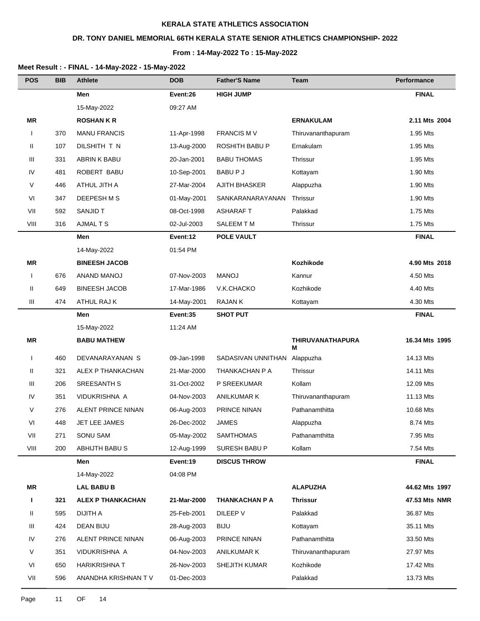## **DR. TONY DANIEL MEMORIAL 66TH KERALA STATE SENIOR ATHLETICS CHAMPIONSHIP- 2022**

#### **From : 14-May-2022 To : 15-May-2022**

| <b>POS</b>   | <b>BIB</b> | <b>Athlete</b>           | <b>DOB</b>  | <b>Father'S Name</b>  | <b>Team</b>                  | Performance    |
|--------------|------------|--------------------------|-------------|-----------------------|------------------------------|----------------|
|              |            | Men                      | Event:26    | <b>HIGH JUMP</b>      |                              | <b>FINAL</b>   |
|              |            | 15-May-2022              | 09:27 AM    |                       |                              |                |
| <b>MR</b>    |            | <b>ROSHANKR</b>          |             |                       | <b>ERNAKULAM</b>             | 2.11 Mts 2004  |
| $\mathbf{I}$ | 370        | <b>MANU FRANCIS</b>      | 11-Apr-1998 | <b>FRANCIS MV</b>     | Thiruvananthapuram           | 1.95 Mts       |
| Ш            | 107        | DILSHITH T N             | 13-Aug-2000 | ROSHITH BABU P        | Ernakulam                    | 1.95 Mts       |
| Ш            | 331        | ABRIN K BABU             | 20-Jan-2001 | <b>BABU THOMAS</b>    | Thrissur                     | 1.95 Mts       |
| IV           | 481        | ROBERT BABU              | 10-Sep-2001 | BABU P J              | Kottayam                     | 1.90 Mts       |
| V            | 446        | ATHUL JITH A             | 27-Mar-2004 | <b>AJITH BHASKER</b>  | Alappuzha                    | 1.90 Mts       |
| VI           | 347        | DEEPESH M S              | 01-May-2001 | SANKARANARAYANAN      | Thrissur                     | 1.90 Mts       |
| VII          | 592        | SANJID T                 | 08-Oct-1998 | <b>ASHARAFT</b>       | Palakkad                     | 1.75 Mts       |
| VIII         | 316        | <b>AJMAL T S</b>         | 02-Jul-2003 | SALEEM T M            | Thrissur                     | 1.75 Mts       |
|              |            | Men                      | Event:12    | <b>POLE VAULT</b>     |                              | <b>FINAL</b>   |
|              |            | 14-May-2022              | 01:54 PM    |                       |                              |                |
| MR           |            | <b>BINEESH JACOB</b>     |             |                       | Kozhikode                    | 4.90 Mts 2018  |
| $\mathbf{I}$ | 676        | ANAND MANOJ              | 07-Nov-2003 | <b>MANOJ</b>          | Kannur                       | 4.50 Mts       |
| Ш            | 649        | <b>BINEESH JACOB</b>     | 17-Mar-1986 | V.K.CHACKO            | Kozhikode                    | 4.40 Mts       |
| Ш            | 474        | ATHUL RAJ K              | 14-May-2001 | RAJAN K               | Kottayam                     | 4.30 Mts       |
|              |            | Men                      | Event:35    | <b>SHOT PUT</b>       |                              | <b>FINAL</b>   |
|              |            | 15-May-2022              | 11:24 AM    |                       |                              |                |
| <b>MR</b>    |            | <b>BABU MATHEW</b>       |             |                       | <b>THIRUVANATHAPURA</b><br>M | 16.34 Mts 1995 |
| $\mathbf{I}$ | 460        | DEVANARAYANAN S          | 09-Jan-1998 | SADASIVAN UNNITHAN    | Alappuzha                    | 14.13 Mts      |
| Ш            | 321        | ALEX P THANKACHAN        | 21-Mar-2000 | THANKACHAN P A        | Thrissur                     | 14.11 Mts      |
| Ш            | 206        | SREESANTH S              | 31-Oct-2002 | P SREEKUMAR           | Kollam                       | 12.09 Mts      |
| IV           | 351        | VIDUKRISHNA A            | 04-Nov-2003 | <b>ANILKUMAR K</b>    | Thiruvananthapuram           | 11.13 Mts      |
| V            | 276        | ALENT PRINCE NINAN       | 06-Aug-2003 | PRINCE NINAN          | Pathanamthitta               | 10.68 Mts      |
| VI           | 448        | <b>JET LEE JAMES</b>     | 26-Dec-2002 | JAMES                 | Alappuzha                    | 8.74 Mts       |
| VII          | 271        | SONU SAM                 | 05-May-2002 | SAMTHOMAS             | Pathanamthitta               | 7.95 Mts       |
| VIII         | 200        | ABHIJTH BABU S           | 12-Aug-1999 | SURESH BABU P         | Kollam                       | 7.54 Mts       |
|              |            | Men                      | Event:19    | <b>DISCUS THROW</b>   |                              | <b>FINAL</b>   |
|              |            | 14-May-2022              | 04:08 PM    |                       |                              |                |
| <b>MR</b>    |            | <b>LAL BABU B</b>        |             |                       | <b>ALAPUZHA</b>              | 44.62 Mts 1997 |
| L            | 321        | <b>ALEX P THANKACHAN</b> | 21-Mar-2000 | <b>THANKACHAN P A</b> | <b>Thrissur</b>              | 47.53 Mts NMR  |
| Ш            | 595        | <b>DIJITH A</b>          | 25-Feb-2001 | DILEEP V              | Palakkad                     | 36.87 Mts      |
| Ш            | 424        | DEAN BIJU                | 28-Aug-2003 | <b>BIJU</b>           | Kottayam                     | 35.11 Mts      |
| IV           | 276        | ALENT PRINCE NINAN       | 06-Aug-2003 | PRINCE NINAN          | Pathanamthitta               | 33.50 Mts      |
| V            | 351        | VIDUKRISHNA A            | 04-Nov-2003 | ANILKUMAR K           | Thiruvananthapuram           | 27.97 Mts      |
| VI           | 650        | HARIKRISHNA T            | 26-Nov-2003 | <b>SHEJITH KUMAR</b>  | Kozhikode                    | 17.42 Mts      |
| VII          | 596        | ANANDHA KRISHNAN TV      | 01-Dec-2003 |                       | Palakkad                     | 13.73 Mts      |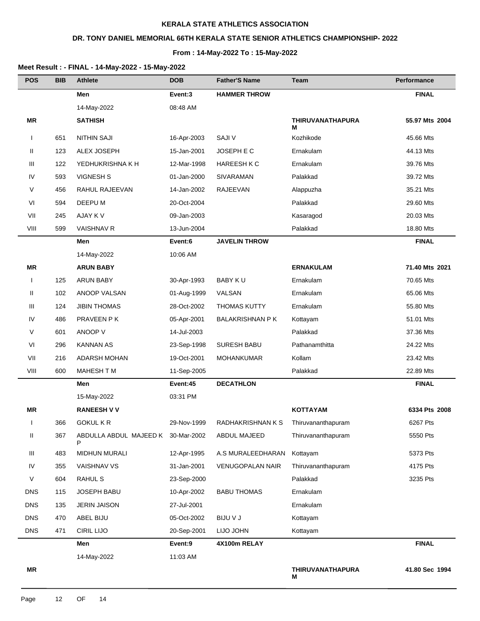## **DR. TONY DANIEL MEMORIAL 66TH KERALA STATE SENIOR ATHLETICS CHAMPIONSHIP- 2022**

#### **From : 14-May-2022 To : 15-May-2022**

| <b>POS</b>   | <b>BIB</b> | <b>Athlete</b>                          | <b>DOB</b>  | <b>Father'S Name</b>    | Team                         | Performance    |
|--------------|------------|-----------------------------------------|-------------|-------------------------|------------------------------|----------------|
|              |            | Men                                     | Event:3     | <b>HAMMER THROW</b>     |                              | <b>FINAL</b>   |
|              |            | 14-May-2022                             | 08:48 AM    |                         |                              |                |
| ΜR           |            | <b>SATHISH</b>                          |             |                         | <b>THIRUVANATHAPURA</b><br>M | 55.97 Mts 2004 |
| $\mathbf{I}$ | 651        | <b>NITHIN SAJI</b>                      | 16-Apr-2003 | <b>SAJI V</b>           | Kozhikode                    | 45.66 Mts      |
| Ш            | 123        | ALEX JOSEPH                             | 15-Jan-2001 | JOSEPH E C              | Ernakulam                    | 44.13 Mts      |
| Ш            | 122        | YEDHUKRISHNA K H                        | 12-Mar-1998 | HAREESH K C             | Ernakulam                    | 39.76 Mts      |
| IV           | 593        | <b>VIGNESH S</b>                        | 01-Jan-2000 | SIVARAMAN               | Palakkad                     | 39.72 Mts      |
| V            | 456        | RAHUL RAJEEVAN                          | 14-Jan-2002 | RAJEEVAN                | Alappuzha                    | 35.21 Mts      |
| VI           | 594        | DEEPU M                                 | 20-Oct-2004 |                         | Palakkad                     | 29.60 Mts      |
| VII          | 245        | AJAY K V                                | 09-Jan-2003 |                         | Kasaragod                    | 20.03 Mts      |
| VIII         | 599        | <b>VAISHNAV R</b>                       | 13-Jun-2004 |                         | Palakkad                     | 18.80 Mts      |
|              |            | Men                                     | Event:6     | <b>JAVELIN THROW</b>    |                              | <b>FINAL</b>   |
|              |            | 14-May-2022                             | 10:06 AM    |                         |                              |                |
| <b>MR</b>    |            | <b>ARUN BABY</b>                        |             |                         | <b>ERNAKULAM</b>             | 71.40 Mts 2021 |
| $\mathbf{I}$ | 125        | <b>ARUN BABY</b>                        | 30-Apr-1993 | <b>BABY KU</b>          | Ernakulam                    | 70.65 Mts      |
| Ш            | 102        | ANOOP VALSAN                            | 01-Aug-1999 | VALSAN                  | Ernakulam                    | 65.06 Mts      |
| Ш            | 124        | <b>JIBIN THOMAS</b>                     | 28-Oct-2002 | <b>THOMAS KUTTY</b>     | Ernakulam                    | 55.80 Mts      |
| IV           | 486        | PRAVEEN P K                             | 05-Apr-2001 | <b>BALAKRISHNAN P K</b> | Kottayam                     | 51.01 Mts      |
| V            | 601        | ANOOP V                                 | 14-Jul-2003 |                         | Palakkad                     | 37.36 Mts      |
| VI           | 296        | <b>KANNAN AS</b>                        | 23-Sep-1998 | <b>SURESH BABU</b>      | Pathanamthitta               | 24.22 Mts      |
| VII          | 216        | <b>ADARSH MOHAN</b>                     | 19-Oct-2001 | <b>MOHANKUMAR</b>       | Kollam                       | 23.42 Mts      |
| VIII         | 600        | MAHESH T M                              | 11-Sep-2005 |                         | Palakkad                     | 22.89 Mts      |
|              |            | Men                                     | Event:45    | <b>DECATHLON</b>        |                              | <b>FINAL</b>   |
|              |            | 15-May-2022                             | 03:31 PM    |                         |                              |                |
| ΜR           |            | <b>RANEESH V V</b>                      |             |                         | <b>KOTTAYAM</b>              | 6334 Pts 2008  |
| $\mathbf{I}$ | 366        | <b>GOKUL K R</b>                        | 29-Nov-1999 | RADHAKRISHNAN K S       | Thiruvananthapuram           | 6267 Pts       |
| Ш            | 367        | ABDULLA ABDUL MAJEED K 30-Mar-2002<br>P |             | ABDUL MAJEED            | Thiruvananthapuram           | 5550 Pts       |
| Ш            | 483        | <b>MIDHUN MURALI</b>                    | 12-Apr-1995 | A.S MURALEEDHARAN       | Kottayam                     | 5373 Pts       |
| IV           | 355        | <b>VAISHNAV VS</b>                      | 31-Jan-2001 | <b>VENUGOPALAN NAIR</b> | Thiruvananthapuram           | 4175 Pts       |
| V            | 604        | RAHUL S                                 | 23-Sep-2000 |                         | Palakkad                     | 3235 Pts       |
| <b>DNS</b>   | 115        | JOSEPH BABU                             | 10-Apr-2002 | <b>BABU THOMAS</b>      | Ernakulam                    |                |
| <b>DNS</b>   | 135        | <b>JERIN JAISON</b>                     | 27-Jul-2001 |                         | Ernakulam                    |                |
| <b>DNS</b>   | 470        | ABEL BIJU                               | 05-Oct-2002 | <b>BIJU V J</b>         | Kottayam                     |                |
| <b>DNS</b>   | 471        | <b>CIRIL LIJO</b>                       | 20-Sep-2001 | LIJO JOHN               | Kottayam                     |                |
|              |            | Men                                     | Event:9     | 4X100m RELAY            |                              | <b>FINAL</b>   |
|              |            | 14-May-2022                             | 11:03 AM    |                         |                              |                |
| ΜR           |            |                                         |             |                         | <b>THIRUVANATHAPURA</b><br>Μ | 41.80 Sec 1994 |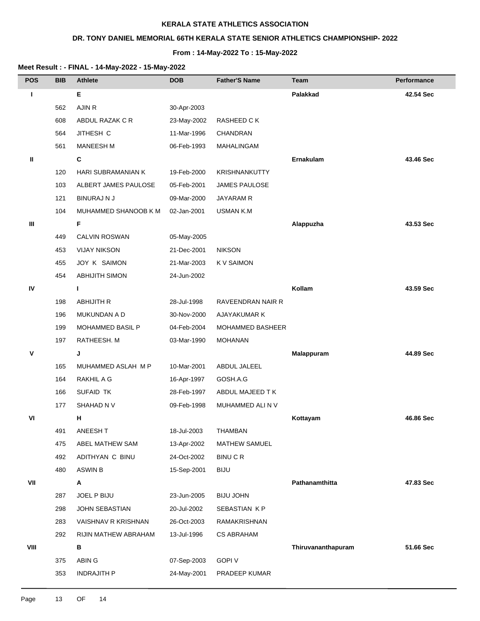## **DR. TONY DANIEL MEMORIAL 66TH KERALA STATE SENIOR ATHLETICS CHAMPIONSHIP- 2022**

#### **From : 14-May-2022 To : 15-May-2022**

| <b>POS</b> | <b>BIB</b> | <b>Athlete</b>          | <b>DOB</b>  | <b>Father'S Name</b>    | Team               | <b>Performance</b> |
|------------|------------|-------------------------|-------------|-------------------------|--------------------|--------------------|
| т          |            | Е                       |             |                         | Palakkad           | 42.54 Sec          |
|            | 562        | AJIN R                  | 30-Apr-2003 |                         |                    |                    |
|            | 608        | ABDUL RAZAK C R         | 23-May-2002 | RASHEED C K             |                    |                    |
|            | 564        | JITHESH C               | 11-Mar-1996 | CHANDRAN                |                    |                    |
|            | 561        | MANEESH M               | 06-Feb-1993 | MAHALINGAM              |                    |                    |
| Ш          |            | C                       |             |                         | Ernakulam          | 43.46 Sec          |
|            | 120        | HARI SUBRAMANIAN K      | 19-Feb-2000 | KRISHNANKUTTY           |                    |                    |
|            | 103        | ALBERT JAMES PAULOSE    | 05-Feb-2001 | <b>JAMES PAULOSE</b>    |                    |                    |
|            | 121        | <b>BINURAJ N J</b>      | 09-Mar-2000 | JAYARAM R               |                    |                    |
|            | 104        | MUHAMMED SHANOOB K M    | 02-Jan-2001 | <b>USMAN K.M</b>        |                    |                    |
| Ш          |            | F                       |             |                         | Alappuzha          | 43.53 Sec          |
|            | 449        | <b>CALVIN ROSWAN</b>    | 05-May-2005 |                         |                    |                    |
|            | 453        | <b>VIJAY NIKSON</b>     | 21-Dec-2001 | <b>NIKSON</b>           |                    |                    |
|            | 455        | JOY K SAIMON            | 21-Mar-2003 | K V SAIMON              |                    |                    |
|            | 454        | <b>ABHIJITH SIMON</b>   | 24-Jun-2002 |                         |                    |                    |
| IV         |            | L.                      |             |                         | Kollam             | 43.59 Sec          |
|            | 198        | <b>ABHIJITH R</b>       | 28-Jul-1998 | RAVEENDRAN NAIR R       |                    |                    |
|            | 196        | MUKUNDAN A D            | 30-Nov-2000 | AJAYAKUMAR K            |                    |                    |
|            | 199        | <b>MOHAMMED BASIL P</b> | 04-Feb-2004 | <b>MOHAMMED BASHEER</b> |                    |                    |
|            | 197        | RATHEESH. M             | 03-Mar-1990 | <b>MOHANAN</b>          |                    |                    |
| ۷          |            | J                       |             |                         | Malappuram         | 44.89 Sec          |
|            | 165        | MUHAMMED ASLAH M P      | 10-Mar-2001 | ABDUL JALEEL            |                    |                    |
|            | 164        | RAKHIL A G              | 16-Apr-1997 | GOSH.A.G                |                    |                    |
|            | 166        | SUFAID TK               | 28-Feb-1997 | ABDUL MAJEED TK         |                    |                    |
|            | 177        | SHAHAD N V              | 09-Feb-1998 | MUHAMMED ALI N V        |                    |                    |
| VI         |            | н                       |             |                         | Kottayam           | 46.86 Sec          |
|            | 491        | ANEESH T                | 18-Jul-2003 | <b>THAMBAN</b>          |                    |                    |
|            | 475        | ABEL MATHEW SAM         | 13-Apr-2002 | MATHEW SAMUEL           |                    |                    |
|            | 492        | ADITHYAN C BINU         | 24-Oct-2002 | <b>BINUCR</b>           |                    |                    |
|            | 480        | <b>ASWIN B</b>          | 15-Sep-2001 | <b>BIJU</b>             |                    |                    |
| VII        |            | Α                       |             |                         | Pathanamthitta     | 47.83 Sec          |
|            | 287        | JOEL P BIJU             | 23-Jun-2005 | <b>BIJU JOHN</b>        |                    |                    |
|            | 298        | JOHN SEBASTIAN          | 20-Jul-2002 | SEBASTIAN KP            |                    |                    |
|            | 283        | VAISHNAV R KRISHNAN     | 26-Oct-2003 | RAMAKRISHNAN            |                    |                    |
|            | 292        | RIJIN MATHEW ABRAHAM    | 13-Jul-1996 | <b>CS ABRAHAM</b>       |                    |                    |
| VIII       |            | в                       |             |                         | Thiruvananthapuram | 51.66 Sec          |
|            | 375        | ABIN G                  | 07-Sep-2003 | <b>GOPI V</b>           |                    |                    |
|            | 353        | <b>INDRAJITH P</b>      | 24-May-2001 | PRADEEP KUMAR           |                    |                    |
|            |            |                         |             |                         |                    |                    |